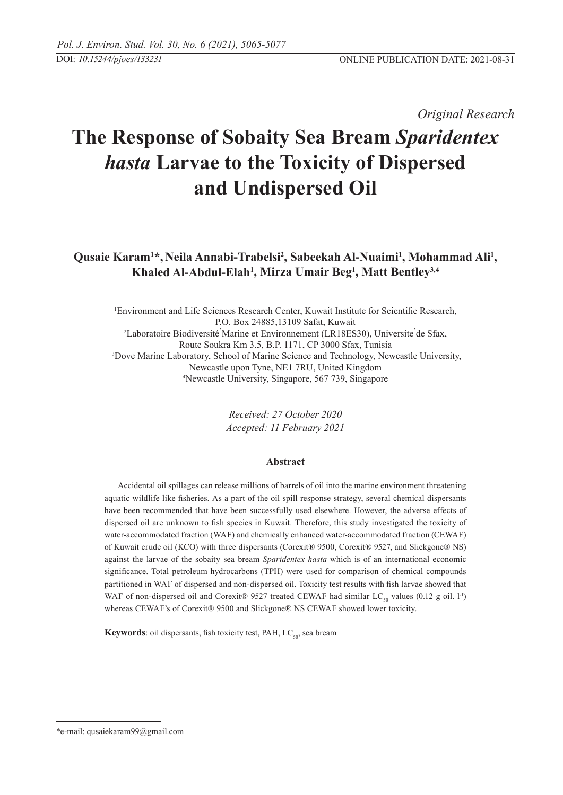*Original Research* 

# **The Response of Sobaity Sea Bream** *Sparidentex hasta* **Larvae to the Toxicity of Dispersed and Undispersed Oil**

Qusaie Karam<sup>1\*</sup>, Neila Annabi-Trabelsi<sup>2</sup>, Sabeekah Al-Nuaimi<sup>1</sup>, Mohammad Ali<sup>1</sup>, **Khaled Al-Abdul-Elah1 , Mirza Umair Beg1 , Matt Bentley3,4**

1 Environment and Life Sciences Research Center, Kuwait Institute for Scientific Research, P.O. Box 24885,13109 Safat, Kuwait 2 Laboratoire Biodiversité ́Marine et Environnement (LR18ES30), Universite ́de Sfax, Route Soukra Km 3.5, B.P. 1171, CP 3000 Sfax, Tunisia<br><sup>3</sup>Dove Marine Laboratory, School of Marine Science and Technology, Newcastle University, Newcastle upon Tyne, NE1 7RU, United Kingdom 4 Newcastle University, Singapore, 567 739, Singapore

> *Received: 27 October 2020 Accepted: 11 February 2021*

# **Abstract**

Accidental oil spillages can release millions of barrels of oil into the marine environment threatening aquatic wildlife like fisheries. As a part of the oil spill response strategy, several chemical dispersants have been recommended that have been successfully used elsewhere. However, the adverse effects of dispersed oil are unknown to fish species in Kuwait. Therefore, this study investigated the toxicity of water-accommodated fraction (WAF) and chemically enhanced water-accommodated fraction (CEWAF) of Kuwait crude oil (KCO) with three dispersants (Corexit® 9500, Corexit® 9527, and Slickgone® NS) against the larvae of the sobaity sea bream *Sparidentex hasta* which is of an international economic significance. Total petroleum hydrocarbons (TPH) were used for comparison of chemical compounds partitioned in WAF of dispersed and non-dispersed oil. Toxicity test results with fish larvae showed that WAF of non-dispersed oil and Corexit® 9527 treated CEWAF had similar LC<sub>so</sub> values (0.12 g oil. l<sup>-1</sup>) whereas CEWAF's of Corexit® 9500 and Slickgone® NS CEWAF showed lower toxicity.

**Keywords**: oil dispersants, fish toxicity test, PAH,  $LC_{so}$ , sea bream

<sup>\*</sup>e-mail: qusaiekaram99@gmail.com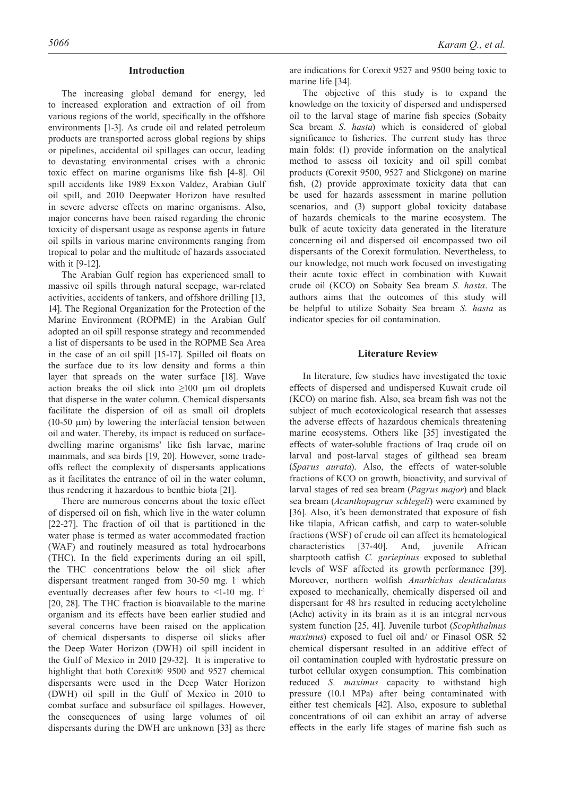#### **Introduction**

The increasing global demand for energy, led to increased exploration and extraction of oil from various regions of the world, specifically in the offshore environments [1-3]. As crude oil and related petroleum products are transported across global regions by ships or pipelines, accidental oil spillages can occur, leading to devastating environmental crises with a chronic toxic effect on marine organisms like fish [4-8]. Oil spill accidents like 1989 Exxon Valdez, Arabian Gulf oil spill, and 2010 Deepwater Horizon have resulted in severe adverse effects on marine organisms. Also, major concerns have been raised regarding the chronic toxicity of dispersant usage as response agents in future oil spills in various marine environments ranging from tropical to polar and the multitude of hazards associated with it [9-12].

The Arabian Gulf region has experienced small to massive oil spills through natural seepage, war-related activities, accidents of tankers, and offshore drilling [13, 14]. The Regional Organization for the Protection of the Marine Environment (ROPME) in the Arabian Gulf adopted an oil spill response strategy and recommended a list of dispersants to be used in the ROPME Sea Area in the case of an oil spill [15-17]. Spilled oil floats on the surface due to its low density and forms a thin layer that spreads on the water surface [18]. Wave action breaks the oil slick into  $\geq 100$  µm oil droplets that disperse in the water column. Chemical dispersants facilitate the dispersion of oil as small oil droplets (10-50  $\mu$ m) by lowering the interfacial tension between oil and water. Thereby, its impact is reduced on surfacedwelling marine organisms' like fish larvae, marine mammals, and sea birds [19, 20]. However, some tradeoffs reflect the complexity of dispersants applications as it facilitates the entrance of oil in the water column, thus rendering it hazardous to benthic biota [21].

There are numerous concerns about the toxic effect of dispersed oil on fish, which live in the water column [22-27]. The fraction of oil that is partitioned in the water phase is termed as water accommodated fraction (WAF) and routinely measured as total hydrocarbons (THC). In the field experiments during an oil spill, the THC concentrations below the oil slick after dispersant treatment ranged from 30-50 mg. l<sup>-1</sup> which eventually decreases after few hours to  $\leq$ 1-10 mg. 1<sup>-1</sup> [20, 28]. The THC fraction is bioavailable to the marine organism and its effects have been earlier studied and several concerns have been raised on the application of chemical dispersants to disperse oil slicks after the Deep Water Horizon (DWH) oil spill incident in the Gulf of Mexico in 2010 [29-32]. It is imperative to highlight that both Corexit® 9500 and 9527 chemical dispersants were used in the Deep Water Horizon (DWH) oil spill in the Gulf of Mexico in 2010 to combat surface and subsurface oil spillages. However, the consequences of using large volumes of oil dispersants during the DWH are unknown [33] as there

are indications for Corexit 9527 and 9500 being toxic to marine life [34].

The objective of this study is to expand the knowledge on the toxicity of dispersed and undispersed oil to the larval stage of marine fish species (Sobaity Sea bream *S. hasta*) which is considered of global significance to fisheries. The current study has three main folds: (1) provide information on the analytical method to assess oil toxicity and oil spill combat products (Corexit 9500, 9527 and Slickgone) on marine fish, (2) provide approximate toxicity data that can be used for hazards assessment in marine pollution scenarios, and (3) support global toxicity database of hazards chemicals to the marine ecosystem. The bulk of acute toxicity data generated in the literature concerning oil and dispersed oil encompassed two oil dispersants of the Corexit formulation. Nevertheless, to our knowledge, not much work focused on investigating their acute toxic effect in combination with Kuwait crude oil (KCO) on Sobaity Sea bream *S. hasta*. The authors aims that the outcomes of this study will be helpful to utilize Sobaity Sea bream *S. hasta* as indicator species for oil contamination.

# **Literature Review**

In literature, few studies have investigated the toxic effects of dispersed and undispersed Kuwait crude oil (KCO) on marine fish. Also, sea bream fish was not the subject of much ecotoxicological research that assesses the adverse effects of hazardous chemicals threatening marine ecosystems. Others like [35] investigated the effects of water-soluble fractions of Iraq crude oil on larval and post-larval stages of gilthead sea bream (*Sparus aurata*). Also, the effects of water-soluble fractions of KCO on growth, bioactivity, and survival of larval stages of red sea bream (*Pagrus major*) and black sea bream (*Acanthopagrus schlegeli*) were examined by [36]. Also, it's been demonstrated that exposure of fish like tilapia, African catfish, and carp to water-soluble fractions (WSF) of crude oil can affect its hematological characteristics [37-40]. And, juvenile African sharptooth catfish *C. gariepinus* exposed to sublethal levels of WSF affected its growth performance [39]. Moreover, northern wolfish *Anarhichas denticulatus*  exposed to mechanically, chemically dispersed oil and dispersant for 48 hrs resulted in reducing acetylcholine (Ache) activity in its brain as it is an integral nervous system function [25, 41]. Juvenile turbot (*Scophthalmus maximus*) exposed to fuel oil and/ or Finasol OSR 52 chemical dispersant resulted in an additive effect of oil contamination coupled with hydrostatic pressure on turbot cellular oxygen consumption. This combination reduced *S. maximus* capacity to withstand high pressure (10.1 MPa) after being contaminated with either test chemicals [42]. Also, exposure to sublethal concentrations of oil can exhibit an array of adverse effects in the early life stages of marine fish such as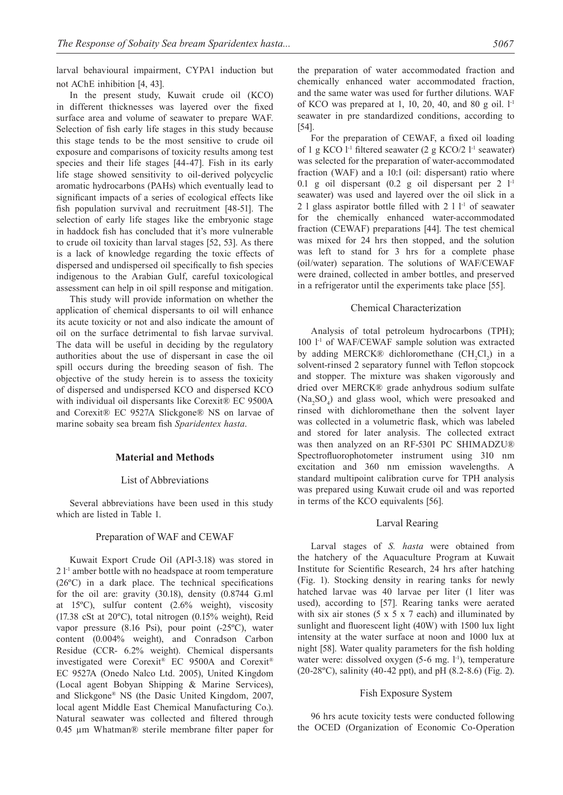larval behavioural impairment, CYPA1 induction but not AChE inhibition [4, 43].

In the present study, Kuwait crude oil (KCO) in different thicknesses was layered over the fixed surface area and volume of seawater to prepare WAF. Selection of fish early life stages in this study because this stage tends to be the most sensitive to crude oil exposure and comparisons of toxicity results among test species and their life stages [44-47]. Fish in its early life stage showed sensitivity to oil-derived polycyclic aromatic hydrocarbons (PAHs) which eventually lead to significant impacts of a series of ecological effects like fish population survival and recruitment [48-51]. The selection of early life stages like the embryonic stage in haddock fish has concluded that it's more vulnerable to crude oil toxicity than larval stages [52, 53]. As there is a lack of knowledge regarding the toxic effects of dispersed and undispersed oil specifically to fish species indigenous to the Arabian Gulf, careful toxicological assessment can help in oil spill response and mitigation.

This study will provide information on whether the application of chemical dispersants to oil will enhance its acute toxicity or not and also indicate the amount of oil on the surface detrimental to fish larvae survival. The data will be useful in deciding by the regulatory authorities about the use of dispersant in case the oil spill occurs during the breeding season of fish. The objective of the study herein is to assess the toxicity of dispersed and undispersed KCO and dispersed KCO with individual oil dispersants like Corexit<sup>®</sup> EC 9500A and Corexit® EC 9527A Slickgone® NS on larvae of marine sobaity sea bream fish *Sparidentex hasta*.

## **Material and methods**

# List of Abbreviations

Several abbreviations have been used in this study which are listed in Table 1.

#### Preparation of WAF and CEWAF

Kuwait Export Crude Oil (API-3.18) was stored in 2 l-1 amber bottle with no headspace at room temperature (26ºC) in a dark place. The technical specifications for the oil are: gravity (30.18), density (0.8744 G.ml at 15ºC), sulfur content (2.6% weight), viscosity (17.38 cSt at 20ºC), total nitrogen (0.15% weight), Reid vapor pressure (8.16 Psi), pour point (-25ºC), water content (0.004% weight), and Conradson Carbon Residue (CCR- 6.2% weight). Chemical dispersants investigated were Corexit® EC 9500A and Corexit® EC 9527A (Onedo Nalco Ltd. 2005), United Kingdom (Local agent Bobyan Shipping & Marine Services), and Slickgone® NS (the Dasic United Kingdom, 2007, local agent Middle East Chemical Manufacturing Co.). Natural seawater was collected and filtered through 0.45 µm Whatman® sterile membrane filter paper for the preparation of water accommodated fraction and chemically enhanced water accommodated fraction, and the same water was used for further dilutions. WAF of KCO was prepared at 1, 10, 20, 40, and 80 g oil.  $l<sup>-1</sup>$ seawater in pre standardized conditions, according to [54].

For the preparation of CEWAF, a fixed oil loading of 1 g KCO  $l<sup>-1</sup>$  filtered seawater (2 g KCO/2  $l<sup>-1</sup>$  seawater) was selected for the preparation of water-accommodated fraction (WAF) and a 10:1 (oil: dispersant) ratio where 0.1 g oil dispersant  $(0.2 \text{ g}$  oil dispersant per 2  $1^{-1}$ seawater) was used and layered over the oil slick in a 2 l glass aspirator bottle filled with  $2 \cdot 11^{-1}$  of seawater for the chemically enhanced water-accommodated fraction (CEWAF) preparations [44]. The test chemical was mixed for 24 hrs then stopped, and the solution was left to stand for 3 hrs for a complete phase (oil/water) separation. The solutions of WAF/CEWAF were drained, collected in amber bottles, and preserved in a refrigerator until the experiments take place [55].

#### Chemical Characterization

Analysis of total petroleum hydrocarbons (TPH); 100 <sup>1-1</sup> of WAF/CEWAF sample solution was extracted by adding MERCK® dichloromethane  $(CH_2Cl_2)$  in a solvent-rinsed 2 separatory funnel with Teflon stopcock and stopper. The mixture was shaken vigorously and dried over MERCK® grade anhydrous sodium sulfate  $(Na<sub>2</sub>SO<sub>4</sub>)$  and glass wool, which were presoaked and rinsed with dichloromethane then the solvent layer was collected in a volumetric flask, which was labeled and stored for later analysis. The collected extract was then analyzed on an RF-5301 PC SHIMADZU® Spectrofluorophotometer instrument using 310 nm excitation and 360 nm emission wavelengths. A standard multipoint calibration curve for TPH analysis was prepared using Kuwait crude oil and was reported in terms of the KCO equivalents [56].

#### Larval Rearing

Larval stages of *S. hasta* were obtained from the hatchery of the Aquaculture Program at Kuwait Institute for Scientific Research, 24 hrs after hatching (Fig. 1). Stocking density in rearing tanks for newly hatched larvae was 40 larvae per liter (1 liter was used), according to [57]. Rearing tanks were aerated with six air stones  $(5 \times 5 \times 7 \text{ each})$  and illuminated by sunlight and fluorescent light (40W) with 1500 lux light intensity at the water surface at noon and 1000 lux at night [58]. Water quality parameters for the fish holding water were: dissolved oxygen  $(5-6$  mg.  $l^{-1}$ ), temperature (20-28ºC), salinity (40-42 ppt), and pH (8.2-8.6) (Fig. 2).

## Fish Exposure System

96 hrs acute toxicity tests were conducted following the OCED (Organization of Economic Co-Operation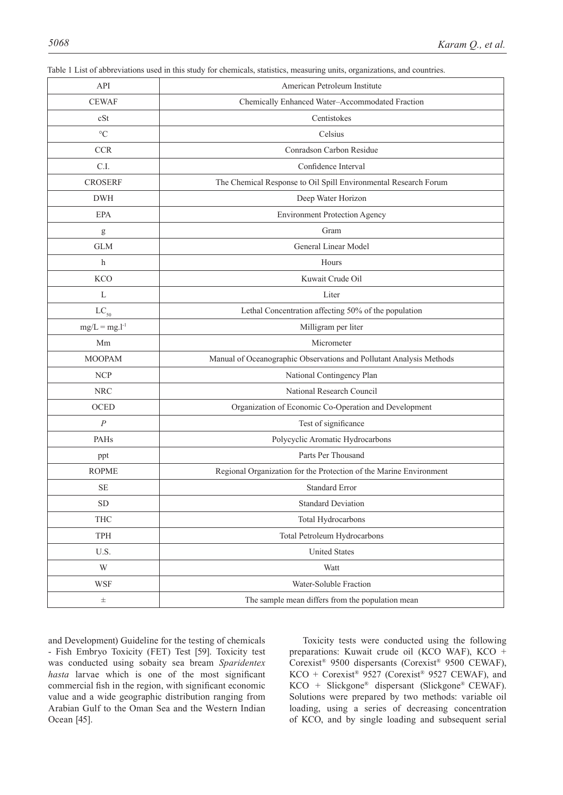| API                      | American Petroleum Institute                                        |  |  |  |  |
|--------------------------|---------------------------------------------------------------------|--|--|--|--|
| <b>CEWAF</b>             | Chemically Enhanced Water-Accommodated Fraction                     |  |  |  |  |
| cSt                      | Centistokes                                                         |  |  |  |  |
| $\rm ^{\circ}C$          | Celsius                                                             |  |  |  |  |
| <b>CCR</b>               | Conradson Carbon Residue                                            |  |  |  |  |
| C.I.                     | Confidence Interval                                                 |  |  |  |  |
| <b>CROSERF</b>           | The Chemical Response to Oil Spill Environmental Research Forum     |  |  |  |  |
| <b>DWH</b>               | Deep Water Horizon                                                  |  |  |  |  |
| EPA                      | <b>Environment Protection Agency</b>                                |  |  |  |  |
| g                        | Gram                                                                |  |  |  |  |
| <b>GLM</b>               | General Linear Model                                                |  |  |  |  |
| $\mathbf h$              | Hours                                                               |  |  |  |  |
| <b>KCO</b>               | Kuwait Crude Oil                                                    |  |  |  |  |
| L                        | Liter                                                               |  |  |  |  |
| $LC_{50}$                | Lethal Concentration affecting 50% of the population                |  |  |  |  |
| $mg/L = mg.l^{-1}$       | Milligram per liter                                                 |  |  |  |  |
| Mm                       | Micrometer                                                          |  |  |  |  |
| <b>MOOPAM</b>            | Manual of Oceanographic Observations and Pollutant Analysis Methods |  |  |  |  |
| <b>NCP</b>               | National Contingency Plan                                           |  |  |  |  |
| <b>NRC</b>               | National Research Council                                           |  |  |  |  |
| <b>OCED</b>              | Organization of Economic Co-Operation and Development               |  |  |  |  |
| $\boldsymbol{P}$         | Test of significance                                                |  |  |  |  |
| PAHs                     | Polycyclic Aromatic Hydrocarbons                                    |  |  |  |  |
| ppt                      | Parts Per Thousand                                                  |  |  |  |  |
| <b>ROPME</b>             | Regional Organization for the Protection of the Marine Environment  |  |  |  |  |
| SE                       | <b>Standard Error</b>                                               |  |  |  |  |
| <b>SD</b>                | <b>Standard Deviation</b>                                           |  |  |  |  |
| <b>THC</b>               | Total Hydrocarbons                                                  |  |  |  |  |
| TPH                      | Total Petroleum Hydrocarbons                                        |  |  |  |  |
| $\mathbf{U}.\mathbf{S}.$ | <b>United States</b>                                                |  |  |  |  |
| W                        | Watt                                                                |  |  |  |  |
| <b>WSF</b>               | Water-Soluble Fraction                                              |  |  |  |  |
| $\pm$                    | The sample mean differs from the population mean                    |  |  |  |  |

Table 1 List of abbreviations used in this study for chemicals, statistics, measuring units, organizations, and countries.

and Development) Guideline for the testing of chemicals - Fish Embryo Toxicity (FET) Test [59]. Toxicity test was conducted using sobaity sea bream *Sparidentex hasta* larvae which is one of the most significant commercial fish in the region, with significant economic value and a wide geographic distribution ranging from Arabian Gulf to the Oman Sea and the Western Indian Ocean [45].

Toxicity tests were conducted using the following preparations: Kuwait crude oil (KCO WAF), KCO + Corexist® 9500 dispersants (Corexist® 9500 CEWAF), KCO + Corexist® 9527 (Corexist® 9527 CEWAF), and KCO + Slickgone® dispersant (Slickgone® CEWAF). Solutions were prepared by two methods: variable oil loading, using a series of decreasing concentration of KCO, and by single loading and subsequent serial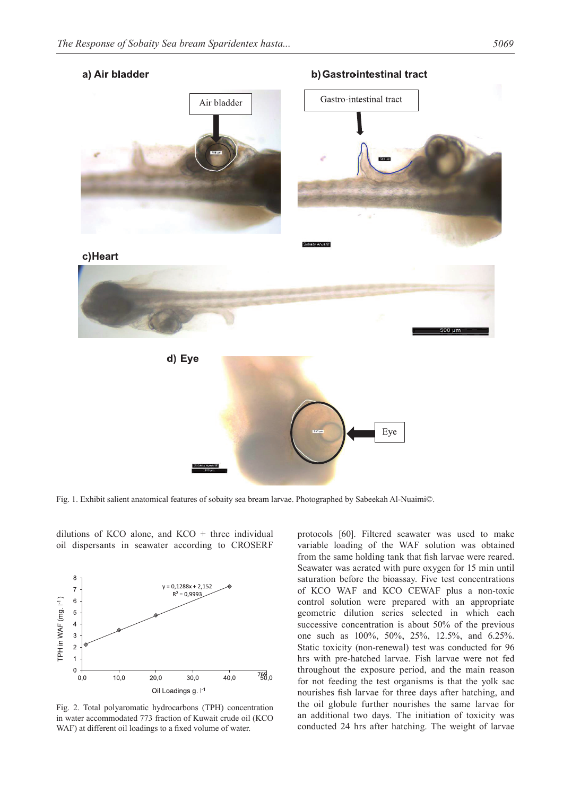# a) Air bladder

b) Gastrointestinal tract



Fig. 1. Exhibit salient anatomical features of sobaity sea bream larvae. Photographed by Sabeekah Al-Nuaimi©.

8  $y = 0,1288x + 2,152$  $\overline{7}$  $R^2 = 0,9993$ [PH in WAF (mg. I<sup>-1</sup>)  $6\phantom{1}6$ 5  $\overline{4}$ 3  $\overline{2}$  $\overline{1}$  $\mathbf 0$  $758.0$  $0,0$  $10,0$ 20,0  $30,0$ 40,0 Oil Loadings g. I<sup>-1</sup>

dilutions of KCO alone, and KCO  $+$  three individual oil dispersants in seawater according to CROSERF

Fig. 2. Total polyaromatic hydrocarbons (TPH) concentration in water accommodated 773 fraction of Kuwait crude oil (KCO WAF) at different oil loadings to a fixed volume of water.

protocols [60]. Filtered seawater was used to make variable loading of the WAF solution was obtained from the same holding tank that fish larvae were reared. Seawater was aerated with pure oxygen for 15 min until saturation before the bioassay. Five test concentrations of KCO WAF and KCO CEWAF plus a non-toxic control solution were prepared with an appropriate geometric dilution series selected in which each successive concentration is about 50% of the previous one such as 100%, 50%, 25%, 12.5%, and 6.25%. Static toxicity (non-renewal) test was conducted for 96 hrs with pre-hatched larvae. Fish larvae were not fed throughout the exposure period, and the main reason for not feeding the test organisms is that the yolk sac nourishes fish larvae for three days after hatching, and the oil globule further nourishes the same larvae for an additional two days. The initiation of toxicity was conducted 24 hrs after hatching. The weight of larvae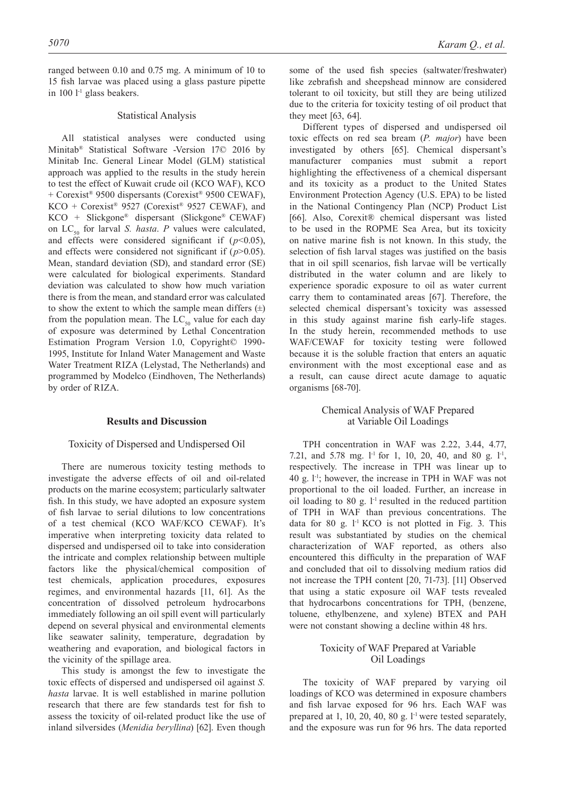ranged between 0.10 and 0.75 mg. A minimum of 10 to 15 fish larvae was placed using a glass pasture pipette in 100  $l<sup>-1</sup>$  glass beakers.

#### Statistical Analysis

All statistical analyses were conducted using Minitab® Statistical Software -Version 17© 2016 by Minitab Inc. General Linear Model (GLM) statistical approach was applied to the results in the study herein to test the effect of Kuwait crude oil (KCO WAF), KCO + Corexist® 9500 dispersants (Corexist® 9500 CEWAF),  $KCO + \text{Corexist}$ <sup>®</sup> 9527 (Corexist<sup>®</sup> 9527 CEWAF), and KCO + Slickgone® dispersant (Slickgone® CEWAF) on  $LC_{50}$  for larval *S. hasta. P* values were calculated, and effects were considered significant if  $(p<0.05)$ , and effects were considered not significant if  $(p>0.05)$ . Mean, standard deviation (SD), and standard error (SE) were calculated for biological experiments. Standard deviation was calculated to show how much variation there is from the mean, and standard error was calculated to show the extent to which the sample mean differs  $(\pm)$ from the population mean. The  $LC_{50}$  value for each day of exposure was determined by Lethal Concentration Estimation Program Version 1.0, Copyright© 1990- 1995, Institute for Inland Water Management and Waste Water Treatment RIZA (Lelystad, The Netherlands) and programmed by Modelco (Eindhoven, The Netherlands) by order of RIZA.

## **Results and Discussion**

#### Toxicity of Dispersed and Undispersed Oil

There are numerous toxicity testing methods to investigate the adverse effects of oil and oil-related products on the marine ecosystem; particularly saltwater fish. In this study, we have adopted an exposure system of fish larvae to serial dilutions to low concentrations of a test chemical (KCO WAF/KCO CEWAF). It's imperative when interpreting toxicity data related to dispersed and undispersed oil to take into consideration the intricate and complex relationship between multiple factors like the physical/chemical composition of test chemicals, application procedures, exposures regimes, and environmental hazards [11, 61]. As the concentration of dissolved petroleum hydrocarbons immediately following an oil spill event will particularly depend on several physical and environmental elements like seawater salinity, temperature, degradation by weathering and evaporation, and biological factors in the vicinity of the spillage area.

This study is amongst the few to investigate the toxic effects of dispersed and undispersed oil against *S. hasta* larvae. It is well established in marine pollution research that there are few standards test for fish to assess the toxicity of oil-related product like the use of inland silversides (*Menidia beryllina*) [62]. Even though

some of the used fish species (saltwater/freshwater) like zebrafish and sheepshead minnow are considered tolerant to oil toxicity, but still they are being utilized due to the criteria for toxicity testing of oil product that they meet [63, 64].

Different types of dispersed and undispersed oil toxic effects on red sea bream (*P. major*) have been investigated by others [65]. Chemical dispersant's manufacturer companies must submit a report highlighting the effectiveness of a chemical dispersant and its toxicity as a product to the United States Environment Protection Agency (U.S. EPA) to be listed in the National Contingency Plan (NCP) Product List [66]. Also, Corexit® chemical dispersant was listed to be used in the ROPME Sea Area, but its toxicity on native marine fish is not known. In this study, the selection of fish larval stages was justified on the basis that in oil spill scenarios, fish larvae will be vertically distributed in the water column and are likely to experience sporadic exposure to oil as water current carry them to contaminated areas [67]. Therefore, the selected chemical dispersant's toxicity was assessed in this study against marine fish early-life stages. In the study herein, recommended methods to use WAF/CEWAF for toxicity testing were followed because it is the soluble fraction that enters an aquatic environment with the most exceptional ease and as a result, can cause direct acute damage to aquatic organisms [68-70].

# Chemical Analysis of WAF Prepared at Variable Oil Loadings

TPH concentration in WAF was 2.22, 3.44, 4.77, 7.21, and 5.78 mg.  $l^{-1}$  for 1, 10, 20, 40, and 80 g.  $l^{-1}$ , respectively. The increase in TPH was linear up to 40 g.  $1<sup>-1</sup>$ ; however, the increase in TPH in WAF was not proportional to the oil loaded. Further, an increase in oil loading to 80 g.  $l<sup>-1</sup>$  resulted in the reduced partition of TPH in WAF than previous concentrations. The data for 80 g.  $1<sup>-1</sup>$  KCO is not plotted in Fig. 3. This result was substantiated by studies on the chemical characterization of WAF reported, as others also encountered this difficulty in the preparation of WAF and concluded that oil to dissolving medium ratios did not increase the TPH content [20, 71-73]. [11] Observed that using a static exposure oil WAF tests revealed that hydrocarbons concentrations for TPH, (benzene, toluene, ethylbenzene, and xylene) BTEX and PAH were not constant showing a decline within 48 hrs.

# Toxicity of WAF Prepared at Variable Oil Loadings

The toxicity of WAF prepared by varying oil loadings of KCO was determined in exposure chambers and fish larvae exposed for 96 hrs. Each WAF was prepared at 1, 10, 20, 40, 80 g. l<sup>-1</sup> were tested separately, and the exposure was run for 96 hrs. The data reported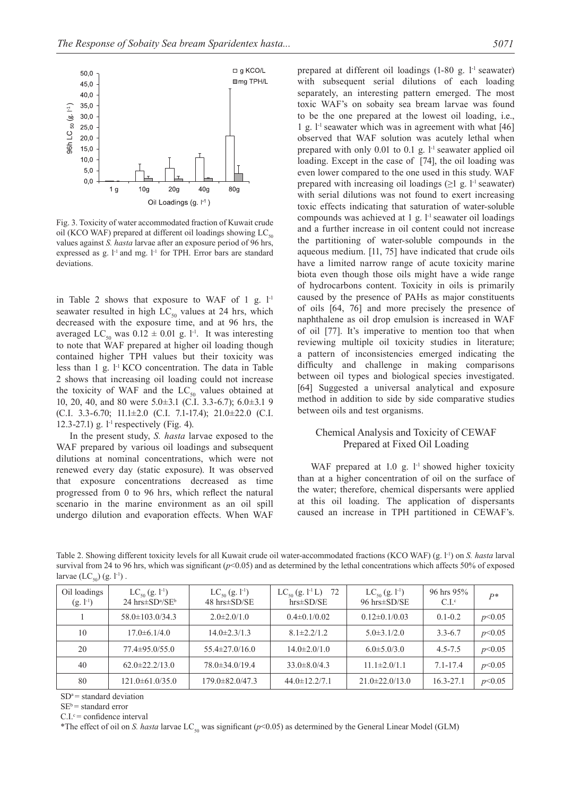

Fig. 3. Toxicity of water accommodated fraction of Kuwait crude oil (KCO WAF) prepared at different oil loadings showing  $LC_{50}$ values against *S. hasta* larvae after an exposure period of 96 hrs, expressed as g.  $l^{-1}$  and mg.  $l^{-1}$  for TPH. Error bars are standard deviations.

in Table 2 shows that exposure to WAF of 1 g.  $l<sup>-1</sup>$ seawater resulted in high  $LC_{50}$  values at 24 hrs, which decreased with the exposure time, and at 96 hrs, the averaged LC<sub>50</sub> was  $0.12 \pm 0.01$  g. l<sup>-1</sup>. It was interesting to note that WAF prepared at higher oil loading though contained higher TPH values but their toxicity was less than 1 g. l-1 KCO concentration. The data in Table 2 shows that increasing oil loading could not increase the toxicity of WAF and the  $LC_{50}$  values obtained at 10, 20, 40, and 80 were 5.0±3.1 (C.I. 3.3-6.7); 6.0±3.1 9 (C.I. 3.3-6.70; 11.1±2.0 (C.I. 7.1-17.4); 21.0±22.0 (C.I. 12.3-27.1) g.  $1^{\text{-}1}$  respectively (Fig. 4).

In the present study, *S. hasta* larvae exposed to the WAF prepared by various oil loadings and subsequent dilutions at nominal concentrations, which were not renewed every day (static exposure). It was observed that exposure concentrations decreased as time progressed from 0 to 96 hrs, which reflect the natural scenario in the marine environment as an oil spill undergo dilution and evaporation effects. When WAF

prepared at different oil loadings  $(1-80 g, 1<sup>-1</sup>$  seawater) with subsequent serial dilutions of each loading separately, an interesting pattern emerged. The most toxic WAF's on sobaity sea bream larvae was found to be the one prepared at the lowest oil loading, i.e., 1 g.  $l^{-1}$  seawater which was in agreement with what [46] observed that WAF solution was acutely lethal when prepared with only  $0.01$  to  $0.1$  g.  $1$ <sup>-1</sup> seawater applied oil loading. Except in the case of [74], the oil loading was even lower compared to the one used in this study. WAF prepared with increasing oil loadings  $(\geq 1 \text{ g. } l^{-1}$  seawater) with serial dilutions was not found to exert increasing toxic effects indicating that saturation of water-soluble compounds was achieved at 1 g.  $l$ <sup>-1</sup> seawater oil loadings and a further increase in oil content could not increase the partitioning of water-soluble compounds in the aqueous medium. [11, 75] have indicated that crude oils have a limited narrow range of acute toxicity marine biota even though those oils might have a wide range of hydrocarbons content. Toxicity in oils is primarily caused by the presence of PAHs as major constituents of oils [64, 76] and more precisely the presence of naphthalene as oil drop emulsion is increased in WAF of oil [77]. It's imperative to mention too that when reviewing multiple oil toxicity studies in literature; a pattern of inconsistencies emerged indicating the difficulty and challenge in making comparisons between oil types and biological species investigated. [64] Suggested a universal analytical and exposure method in addition to side by side comparative studies between oils and test organisms.

# Chemical Analysis and Toxicity of CEWAF Prepared at Fixed Oil Loading

WAF prepared at  $1.0$  g.  $l<sup>-1</sup>$  showed higher toxicity than at a higher concentration of oil on the surface of the water; therefore, chemical dispersants were applied at this oil loading. The application of dispersants caused an increase in TPH partitioned in CEWAF's.

Table 2. Showing different toxicity levels for all Kuwait crude oil water-accommodated fractions (KCO WAF) (g. l-1) on *S. hasta* larval survival from 24 to 96 hrs, which was significant  $(p<0.05)$  and as determined by the lethal concentrations which affects 50% of exposed larvae  $(LC_{50})$  (g. l<sup>-1</sup>).

| Oil loadings<br>$(g. l^{-1})$ | $LC_{50}$ (g. 1 <sup>-1</sup> )<br>$24 \text{ hrs} \pm \text{SD}^{\text{a}}/\text{SE}^{\text{b}}$ | $LC_{50}$ (g. 1 <sup>-1</sup> )<br>$48 \text{ hrs} \pm \text{SD} / \text{SE}$ | 72<br>$LC_{50}$ (g. 1 <sup>-1</sup> L)<br>$hrs \pm SD/SE$ | $LC_{50}$ (g. 1 <sup>-1</sup> )<br>96 hrs $\pm$ SD/SE | 96 hrs $95\%$<br>$C_{\cdot}$ $\Gamma$ <sup>c</sup> | $P*$   |
|-------------------------------|---------------------------------------------------------------------------------------------------|-------------------------------------------------------------------------------|-----------------------------------------------------------|-------------------------------------------------------|----------------------------------------------------|--------|
|                               | $58.0 \pm 103.0/34.3$                                                                             | $2.0\pm2.0/1.0$                                                               | $0.4 \pm 0.1/0.02$                                        | $0.12\pm0.1/0.03$                                     | $0.1 - 0.2$                                        | p<0.05 |
| 10                            | $17.0\pm 6.1/4.0$                                                                                 | $14.0\pm 2.3/1.3$                                                             | $8.1 \pm 2.2/1.2$                                         | $5.0\pm3.1/2.0$                                       | $3.3 - 6.7$                                        | p<0.05 |
| 20                            | $77.4 \pm 95.0/55.0$                                                                              | $55.4 \pm 27.0/16.0$                                                          | $14.0 \pm 2.0 / 1.0$                                      | $6.0 \pm 5.0 / 3.0$                                   | $4.5 - 7.5$                                        | p<0.05 |
| 40                            | $62.0 \pm 22.2/13.0$                                                                              | $78.0\pm34.0/19.4$                                                            | $33.0 \pm 8.0 / 4.3$                                      | $11.1 \pm 2.0/1.1$                                    | $7.1 - 17.4$                                       | p<0.05 |
| 80                            | $121.0\pm 61.0/35.0$                                                                              | $179.0 \pm 82.047.3$                                                          | $44.0 \pm 12.2/7.1$                                       | $21.0\pm 22.0/13.0$                                   | $16.3 - 27.1$                                      | p<0.05 |

 $SD^a$  = standard deviation

 $SE<sup>b</sup>$  = standard error

 $C.I.$ <sup>c</sup> = confidence interval

\*The effect of oil on *S. hasta* larvae  $LC_{50}$  was significant ( $p$ <0.05) as determined by the General Linear Model (GLM)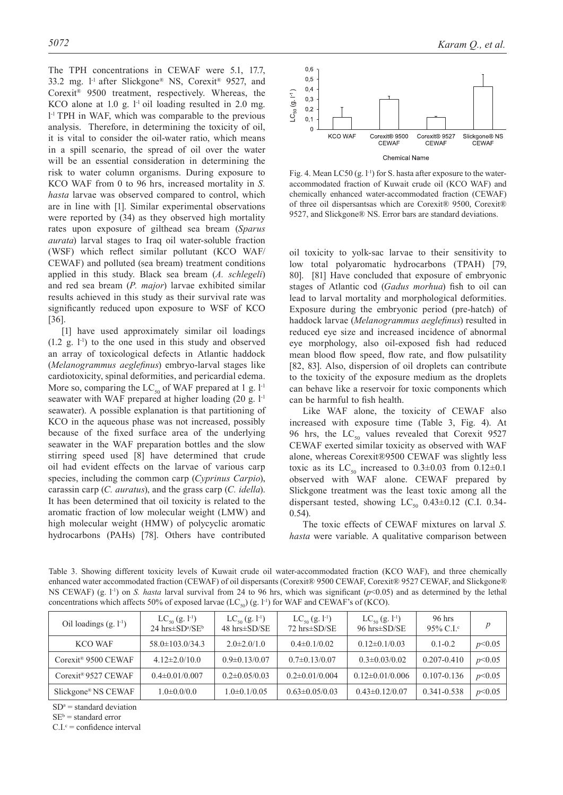The TPH concentrations in CEWAF were 5.1, 17.7, 33.2 mg. l-1 after Slickgone® NS, Corexit® 9527, and Corexit® 9500 treatment, respectively. Whereas, the KCO alone at 1.0 g.  $l^{-1}$  oil loading resulted in 2.0 mg. l -1 TPH in WAF, which was comparable to the previous analysis. Therefore, in determining the toxicity of oil, it is vital to consider the oil-water ratio, which means in a spill scenario, the spread of oil over the water will be an essential consideration in determining the risk to water column organisms. During exposure to KCO WAF from 0 to 96 hrs, increased mortality in *S. hasta* larvae was observed compared to control, which are in line with [1]. Similar experimental observations were reported by (34) as they observed high mortality rates upon exposure of gilthead sea bream (*Sparus aurata*) larval stages to Iraq oil water-soluble fraction (WSF) which reflect similar pollutant (KCO WAF/ CEWAF) and polluted (sea bream) treatment conditions applied in this study. Black sea bream (*A. schlegeli*) and red sea bream (*P. major*) larvae exhibited similar results achieved in this study as their survival rate was significantly reduced upon exposure to WSF of KCO [36].

[1] have used approximately similar oil loadings  $(1.2 \text{ g. } l<sup>-1</sup>)$  to the one used in this study and observed an array of toxicological defects in Atlantic haddock (*Melanogrammus aeglefinus*) embryo-larval stages like cardiotoxicity, spinal deformities, and pericardial edema. More so, comparing the  $LC_{50}$  of WAF prepared at 1 g. l<sup>-1</sup> seawater with WAF prepared at higher loading  $(20 \text{ g. } l<sup>-1</sup>)$ seawater). A possible explanation is that partitioning of KCO in the aqueous phase was not increased, possibly because of the fixed surface area of the underlying seawater in the WAF preparation bottles and the slow stirring speed used [8] have determined that crude oil had evident effects on the larvae of various carp species, including the common carp (*Cyprinus Carpio*), carassin carp (*C. auratus*), and the grass carp (*C. idella*). It has been determined that oil toxicity is related to the aromatic fraction of low molecular weight (LMW) and high molecular weight (HMW) of polycyclic aromatic hydrocarbons (PAHs) [78]. Others have contributed



Fig. 4. Mean LC50 (g.  $l^{-1}$ ) for S. hasta after exposure to the wateraccommodated fraction of Kuwait crude oil (KCO WAF) and chemically enhanced water-accommodated fraction (CEWAF) of three oil dispersantsas which are Corexit® 9500, Corexit® 9527, and Slickgone® NS. Error bars are standard deviations.

oil toxicity to yolk-sac larvae to their sensitivity to low total polyaromatic hydrocarbons (TPAH) [79, 80]. [81] Have concluded that exposure of embryonic stages of Atlantic cod (*Gadus morhua*) fish to oil can lead to larval mortality and morphological deformities. Exposure during the embryonic period (pre-hatch) of haddock larvae (*Melanogrammus aeglefinus*) resulted in reduced eye size and increased incidence of abnormal eye morphology, also oil-exposed fish had reduced mean blood flow speed, flow rate, and flow pulsatility [82, 83]. Also, dispersion of oil droplets can contribute to the toxicity of the exposure medium as the droplets can behave like a reservoir for toxic components which can be harmful to fish health.

Like WAF alone, the toxicity of CEWAF also increased with exposure time (Table 3, Fig. 4). At 96 hrs, the  $LC_{50}$  values revealed that Corexit 9527 CEWAF exerted similar toxicity as observed with WAF alone, whereas Corexit®9500 CEWAF was slightly less toxic as its  $LC_{50}$  increased to  $0.3 \pm 0.03$  from  $0.12 \pm 0.1$ observed with WAF alone. CEWAF prepared by Slickgone treatment was the least toxic among all the dispersant tested, showing  $LC_{50}$  0.43±0.12 (C.I. 0.34-0.54).

The toxic effects of CEWAF mixtures on larval *S. hasta* were variable. A qualitative comparison between

Table 3. Showing different toxicity levels of Kuwait crude oil water-accommodated fraction (KCO WAF), and three chemically enhanced water accommodated fraction (CEWAF) of oil dispersants (Corexit® 9500 CEWAF, Corexit® 9527 CEWAF, and Slickgone® NS CEWAF) (g. l<sup>-1</sup>) on *S. hasta* larval survival from 24 to 96 hrs, which was significant ( $p$ <0.05) and as determined by the lethal concentrations which affects 50% of exposed larvae  $(LC_{50})$  (g. l<sup>-1</sup>) for WAF and CEWAF's of (KCO).

| Oil loadings $(g, l-1)$         | $LC_{50}$ (g. 1 <sup>-1</sup> )<br>$24$ hrs $\pm$ SD <sup>a</sup> /SE <sup>b</sup> | $LC_{50}$ (g. 1 <sup>-1</sup> )<br>$48$ hrs $\pm$ SD/SE | $LC_{50}$ (g. 1 <sup>-1</sup> )<br>72 hrs±SD/SE | $LC_{50}$ (g. 1 <sup>-1</sup> )<br>96 hrs $\pm$ SD/SE | $96$ hrs<br>95% C.I. $\rm{c}$ | $\boldsymbol{p}$ |
|---------------------------------|------------------------------------------------------------------------------------|---------------------------------------------------------|-------------------------------------------------|-------------------------------------------------------|-------------------------------|------------------|
| KCO WAF                         | $58.0 \pm 103.0/34.3$                                                              | $2.0\pm 2.0/1.0$                                        | $0.4\pm 0.1/0.02$                               | $0.12\pm0.1/0.03$                                     | $0.1 - 0.2$                   | p<0.05           |
| Corexit <sup>®</sup> 9500 CEWAF | $4.12\pm2.0/10.0$                                                                  | $0.9 \pm 0.13/0.07$                                     | $0.7\pm 0.13/0.07$                              | $0.3 \pm 0.03/0.02$                                   | $0.207 - 0.410$               | p<0.05           |
| Corexit <sup>®</sup> 9527 CEWAF | $0.4 \pm 0.01/0.007$                                                               | $0.2\pm 0.05/0.03$                                      | $0.2 \pm 0.01/0.004$                            | $0.12 \pm 0.01/0.006$                                 | 0.107-0.136                   | p<0.05           |
| Slickgone® NS CEWAF             | $1.0\pm0.0/0.0$                                                                    | $1.0\pm 0.1/0.05$                                       | $0.63 \pm 0.05/0.03$                            | $0.43 \pm 0.12/0.07$                                  | 0.341-0.538                   | p<0.05           |

 $SD^a$  = standard deviation

 $SE<sup>b</sup>$  = standard error

 $C.I.$ <sup>c</sup> = confidence interval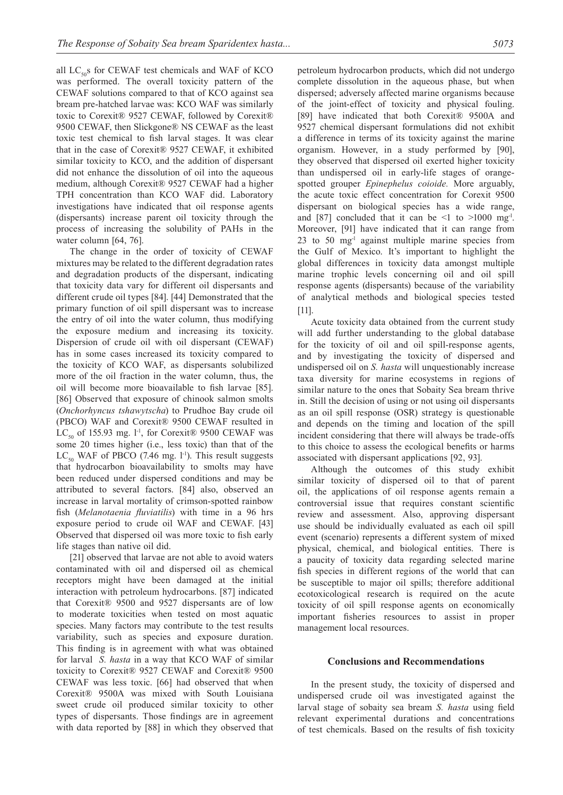all  $LC_{50}$ s for CEWAF test chemicals and WAF of KCO was performed. The overall toxicity pattern of the CEWAF solutions compared to that of KCO against sea bream pre-hatched larvae was: KCO WAF was similarly toxic to Corexit® 9527 CEWAF, followed by Corexit® 9500 CEWAF, then Slickgone® NS CEWAF as the least toxic test chemical to fish larval stages. It was clear that in the case of Corexit® 9527 CEWAF, it exhibited similar toxicity to KCO, and the addition of dispersant did not enhance the dissolution of oil into the aqueous medium, although Corexit® 9527 CEWAF had a higher TPH concentration than KCO WAF did. Laboratory investigations have indicated that oil response agents (dispersants) increase parent oil toxicity through the process of increasing the solubility of PAHs in the water column [64, 76].

The change in the order of toxicity of CEWAF mixtures may be related to the different degradation rates and degradation products of the dispersant, indicating that toxicity data vary for different oil dispersants and different crude oil types [84]. [44] Demonstrated that the primary function of oil spill dispersant was to increase the entry of oil into the water column, thus modifying the exposure medium and increasing its toxicity. Dispersion of crude oil with oil dispersant (CEWAF) has in some cases increased its toxicity compared to the toxicity of KCO WAF, as dispersants solubilized more of the oil fraction in the water column, thus, the oil will become more bioavailable to fish larvae [85]. [86] Observed that exposure of chinook salmon smolts (*Onchorhyncus tshawytscha*) to Prudhoe Bay crude oil (PBCO) WAF and Corexit® 9500 CEWAF resulted in  $LC_{50}$  of 155.93 mg. l<sup>-1</sup>, for Corexit® 9500 CEWAF was some 20 times higher (i.e., less toxic) than that of the  $LC_{50}$  WAF of PBCO (7.46 mg. l<sup>-1</sup>). This result suggests that hydrocarbon bioavailability to smolts may have been reduced under dispersed conditions and may be attributed to several factors. [84] also, observed an increase in larval mortality of crimson-spotted rainbow fish (*Melanotaenia fluviatilis*) with time in a 96 hrs exposure period to crude oil WAF and CEWAF. [43] Observed that dispersed oil was more toxic to fish early life stages than native oil did.

[21] observed that larvae are not able to avoid waters contaminated with oil and dispersed oil as chemical receptors might have been damaged at the initial interaction with petroleum hydrocarbons. [87] indicated that Corexit® 9500 and 9527 dispersants are of low to moderate toxicities when tested on most aquatic species. Many factors may contribute to the test results variability, such as species and exposure duration. This finding is in agreement with what was obtained for larval *S. hasta* in a way that KCO WAF of similar toxicity to Corexit® 9527 CEWAF and Corexit® 9500 CEWAF was less toxic. [66] had observed that when Corexit® 9500A was mixed with South Louisiana sweet crude oil produced similar toxicity to other types of dispersants. Those findings are in agreement with data reported by [88] in which they observed that petroleum hydrocarbon products, which did not undergo complete dissolution in the aqueous phase, but when dispersed; adversely affected marine organisms because of the joint-effect of toxicity and physical fouling. [89] have indicated that both Corexit® 9500A and 9527 chemical dispersant formulations did not exhibit a difference in terms of its toxicity against the marine organism. However, in a study performed by [90], they observed that dispersed oil exerted higher toxicity than undispersed oil in early-life stages of orangespotted grouper *Epinephelus coioide.* More arguably, the acute toxic effect concentration for Corexit 9500 dispersant on biological species has a wide range, and [87] concluded that it can be  $\leq 1$  to  $\geq 1000$  mg<sup>-1</sup>. Moreover, [91] have indicated that it can range from  $23$  to  $50$  mg<sup>-1</sup> against multiple marine species from the Gulf of Mexico. It's important to highlight the global differences in toxicity data amongst multiple marine trophic levels concerning oil and oil spill response agents (dispersants) because of the variability of analytical methods and biological species tested [11].

Acute toxicity data obtained from the current study will add further understanding to the global database for the toxicity of oil and oil spill-response agents, and by investigating the toxicity of dispersed and undispersed oil on *S. hasta* will unquestionably increase taxa diversity for marine ecosystems in regions of similar nature to the ones that Sobaity Sea bream thrive in. Still the decision of using or not using oil dispersants as an oil spill response (OSR) strategy is questionable and depends on the timing and location of the spill incident considering that there will always be trade-offs to this choice to assess the ecological benefits or harms associated with dispersant applications [92, 93].

Although the outcomes of this study exhibit similar toxicity of dispersed oil to that of parent oil, the applications of oil response agents remain a controversial issue that requires constant scientific review and assessment. Also, approving dispersant use should be individually evaluated as each oil spill event (scenario) represents a different system of mixed physical, chemical, and biological entities. There is a paucity of toxicity data regarding selected marine fish species in different regions of the world that can be susceptible to major oil spills; therefore additional ecotoxicological research is required on the acute toxicity of oil spill response agents on economically important fisheries resources to assist in proper management local resources.

## **Conclusions and Recommendations**

In the present study, the toxicity of dispersed and undispersed crude oil was investigated against the larval stage of sobaity sea bream *S. hasta* using field relevant experimental durations and concentrations of test chemicals. Based on the results of fish toxicity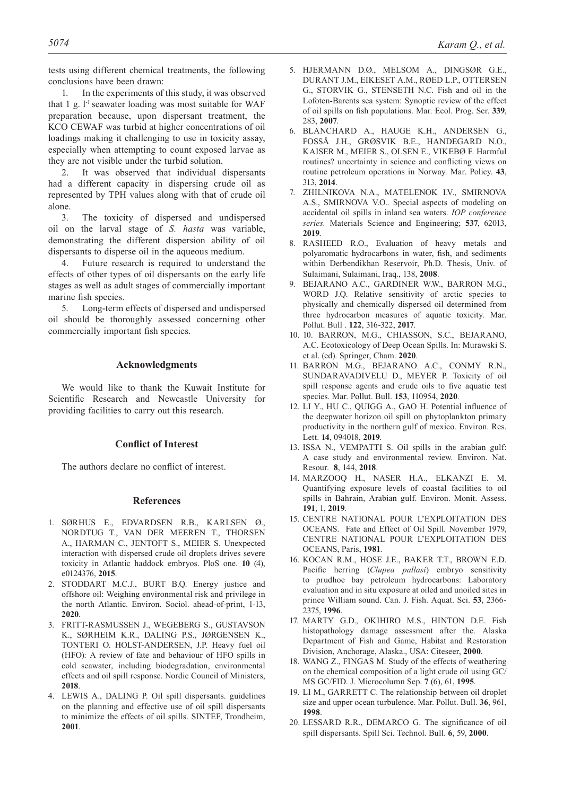tests using different chemical treatments, the following conclusions have been drawn:

1. In the experiments of this study, it was observed that 1 g.  $l^{-1}$  seawater loading was most suitable for WAF preparation because, upon dispersant treatment, the KCO CEWAF was turbid at higher concentrations of oil loadings making it challenging to use in toxicity assay, especially when attempting to count exposed larvae as they are not visible under the turbid solution.

2. It was observed that individual dispersants had a different capacity in dispersing crude oil as represented by TPH values along with that of crude oil alone.

3. The toxicity of dispersed and undispersed oil on the larval stage of *S. hasta* was variable, demonstrating the different dispersion ability of oil dispersants to disperse oil in the aqueous medium.

4. Future research is required to understand the effects of other types of oil dispersants on the early life stages as well as adult stages of commercially important marine fish species.

5. Long-term effects of dispersed and undispersed oil should be thoroughly assessed concerning other commercially important fish species.

# **Acknowledgments**

We would like to thank the Kuwait Institute for Scientific Research and Newcastle University for providing facilities to carry out this research.

# **Conflict of Interest**

The authors declare no conflict of interest.

# **References**

- 1. SØRHUS E., EDVARDSEN R.B., KARLSEN Ø., NORDTUG T., VAN DER MEEREN T., THORSEN A., HARMAN C., JENTOFT S., MEIER S. Unexpected interaction with dispersed crude oil droplets drives severe toxicity in Atlantic haddock embryos. PloS one. **10** (4), e0124376, **2015**.
- 2. STODDART M.C.J., BURT B.Q. Energy justice and offshore oil: Weighing environmental risk and privilege in the north Atlantic. Environ. Sociol. ahead-of-print, 1-13, **2020**.
- 3. FRITT-RASMUSSEN J., WEGEBERG S., GUSTAVSON K., SØRHEIM K.R., DALING P.S., JØRGENSEN K., TONTERI O. HOLST-ANDERSEN, J.P. Heavy fuel oil (HFO): A review of fate and behaviour of HFO spills in cold seawater, including biodegradation, environmental effects and oil spill response. Nordic Council of Ministers, **2018**.
- 4. LEWIS A., DALING P. Oil spill dispersants. guidelines on the planning and effective use of oil spill dispersants to minimize the effects of oil spills. SINTEF, Trondheim, **2001**.
- 5. HJERMANN D.Ø., MELSOM A., DINGSØR G.E., DURANT J.M., EIKESET A.M., RØED L.P., OTTERSEN G., STORVIK G., STENSETH N.C. Fish and oil in the Lofoten-Barents sea system: Synoptic review of the effect of oil spills on fish populations. Mar. Ecol. Prog. Ser. **339**, 283, **2007**.
- 6. BLANCHARD A., HAUGE K.H., ANDERSEN G., FOSSÅ J.H., GRØSVIK B.E., HANDEGARD N.O., KAISER M., MEIER S., OLSEN E., VIKEBØ F. Harmful routines? uncertainty in science and conflicting views on routine petroleum operations in Norway. Mar. Policy. **43**, 313, **2014**.
- 7. ZHILNIKOVA N.A., MATELENOK I.V., SMIRNOVA A.S., SMIRNOVA V.O.. Special aspects of modeling on accidental oil spills in inland sea waters. *IOP conference series.* Materials Science and Engineering; **537**, 62013, **2019**.
- 8. RASHEED R.O., Evaluation of heavy metals and polyaromatic hydrocarbons in water, fish, and sediments within Derbendikhan Reservoir, Ph.D. Thesis, Univ. of Sulaimani, Sulaimani, Iraq., 138, **2008**.
- 9. BEJARANO A.C., GARDINER W.W., BARRON M.G., WORD J.Q. Relative sensitivity of arctic species to physically and chemically dispersed oil determined from three hydrocarbon measures of aquatic toxicity. Mar. Pollut. Bull . **122**, 316-322, **2017**.
- 10. 10. BARRON, M.G., CHIASSON, S.C., BEJARANO, A.C. Ecotoxicology of Deep Ocean Spills. In: Murawski S. et al. (ed). Springer, Cham. **2020**.
- 11. BARRON M.G., BEJARANO A.C., CONMY R.N., SUNDARAVADIVELU D., MEYER P. Toxicity of oil spill response agents and crude oils to five aquatic test species. Mar. Pollut. Bull. **153**, 110954, **2020**.
- 12. LI Y., HU C., QUIGG A., GAO H. Potential influence of the deepwater horizon oil spill on phytoplankton primary productivity in the northern gulf of mexico. Environ. Res. Lett. **14**, 094018, **2019**.
- 13. ISSA N., VEMPATTI S. Oil spills in the arabian gulf: A case study and environmental review. Environ. Nat. Resour. **8**, 144, **2018**.
- 14. MARZOOQ H., NASER H.A., ELKANZI E. M. Quantifying exposure levels of coastal facilities to oil spills in Bahrain, Arabian gulf. Environ. Monit. Assess. **191**, 1, **2019**.
- 15. CENTRE NATIONAL POUR L'EXPLOITATION DES OCEANS. Fate and Effect of Oil Spill. November 1979, CENTRE NATIONAL POUR L'EXPLOITATION DES OCEANS, Paris, **1981**.
- 16. KOCAN R.M., HOSE J.E., BAKER T.T., BROWN E.D. Pacific herring (*Clupea pallasi*) embryo sensitivity to prudhoe bay petroleum hydrocarbons: Laboratory evaluation and in situ exposure at oiled and unoiled sites in prince William sound. Can. J. Fish. Aquat. Sci. **53**, 2366- 2375, **1996**.
- 17. MARTY G.D., OKIHIRO M.S., HINTON D.E. Fish histopathology damage assessment after the. Alaska Department of Fish and Game, Habitat and Restoration Division, Anchorage, Alaska., USA: Citeseer, **2000**.
- 18. WANG Z., FINGAS M. Study of the effects of weathering on the chemical composition of a light crude oil using GC/ MS GC/FID. J. Microcolumn Sep. **7** (6), 61, **1995**.
- 19. LI M., GARRETT C. The relationship between oil droplet size and upper ocean turbulence. Mar. Pollut. Bull. **36**, 961, **1998**.
- 20. LESSARD R.R., DEMARCO G. The significance of oil spill dispersants. Spill Sci. Technol. Bull. **6**, 59, **2000**.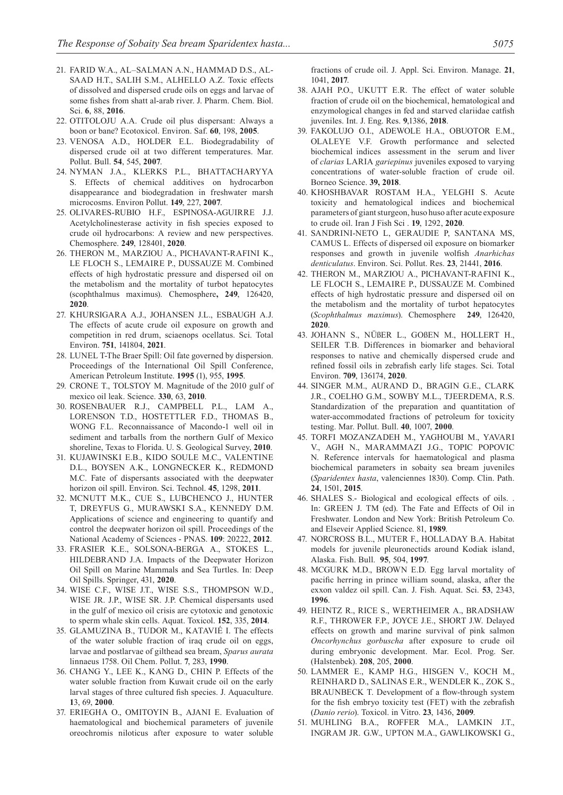- 21. FARID W.A., AL–SALMAN A.N., HAMMAD D.S., AL-SAAD H.T., SALIH S.M., ALHELLO A.Z. Toxic effects of dissolved and dispersed crude oils on eggs and larvae of some fishes from shatt al-arab river. J. Pharm. Chem. Biol. Sci. **6**, 88, **2016**.
- 22. OTITOLOJU A.A. Crude oil plus dispersant: Always a boon or bane? Ecotoxicol. Environ. Saf. **60**, 198, **2005**.
- 23. VENOSA A.D., HOLDER E.L. Biodegradability of dispersed crude oil at two different temperatures. Mar. Pollut. Bull. **54**, 545, **2007**.
- 24. NYMAN J.A., KLERKS P.L., BHATTACHARYYA S. Effects of chemical additives on hydrocarbon disappearance and biodegradation in freshwater marsh microcosms. Environ Pollut. **149**, 227, **2007**.
- 25. OLIVARES-RUBIO H.F., ESPINOSA-AGUIRRE J.J. Acetylcholinesterase activity in fish species exposed to crude oil hydrocarbons: A review and new perspectives. Chemosphere. **249**, 128401, **2020**.
- 26. THERON M., MARZIOU A., PICHAVANT-RAFINI K., LE FLOCH S., LEMAIRE P., DUSSAUZE M. Combined effects of high hydrostatic pressure and dispersed oil on the metabolism and the mortality of turbot hepatocytes (scophthalmus maximus). Chemosphere**, 249**, 126420, **2020**.
- 27. KHURSIGARA A.J., JOHANSEN J.L., ESBAUGH A.J. The effects of acute crude oil exposure on growth and competition in red drum, sciaenops ocellatus. Sci. Total Environ. **751**, 141804, **2021**.
- 28. LUNEL T-The Braer Spill: Oil fate governed by dispersion. Proceedings of the International Oil Spill Conference, American Petroleum Institute. **1995** (1), 955, **1995**.
- 29. CRONE T., TOLSTOY M. Magnitude of the 2010 gulf of mexico oil leak. Science. **330**, 63, **2010**.
- 30. ROSENBAUER R.J., CAMPBELL P.L., LAM A., LORENSON T.D., HOSTETTLER F.D., THOMAS B., WONG F.L. Reconnaissance of Macondo-1 well oil in sediment and tarballs from the northern Gulf of Mexico shoreline, Texas to Florida. U. S. Geological Survey, **2010**.
- 31. KUJAWINSKI E.B., KIDO SOULE M.C., VALENTINE D.L., BOYSEN A.K., LONGNECKER K., REDMOND M.C. Fate of dispersants associated with the deepwater horizon oil spill. Environ. Sci. Technol. **45**, 1298, **2011**.
- 32. MCNUTT M.K., CUE S., LUBCHENCO J., HUNTER T, DREYFUS G., MURAWSKI S.A., KENNEDY D.M. Applications of science and engineering to quantify and control the deepwater horizon oil spill. Proceedings of the National Academy of Sciences - PNAS. **109**: 20222, **2012**.
- 33. FRASIER K.E., SOLSONA-BERGA A., STOKES L., HILDEBRAND J.A. Impacts of the Deepwater Horizon Oil Spill on Marine Mammals and Sea Turtles. In: Deep Oil Spills. Springer, 431, **2020**.
- 34. WISE C.F., WISE J.T., WISE S.S., THOMPSON W.D., WISE JR. J.P., WISE SR. J.P. Chemical dispersants used in the gulf of mexico oil crisis are cytotoxic and genotoxic to sperm whale skin cells. Aquat. Toxicol. **152**, 335, **2014**.
- 35. GLAMUZINA B., TUDOR M., KATAVIÉ I. The effects of the water soluble fraction of iraq crude oil on eggs, larvae and postlarvae of gilthead sea bream, *Sparus aurata* linnaeus 1758. Oil Chem. Pollut. **7**, 283, **1990**.
- 36. CHANG Y., LEE K., KANG D., CHIN P. Effects of the water soluble fraction from Kuwait crude oil on the early larval stages of three cultured fish species. J. Aquaculture. **1**3, 69, **2000**.
- 37. ERIEGHA O., OMITOYIN B., AJANI E. Evaluation of haematological and biochemical parameters of juvenile oreochromis niloticus after exposure to water soluble

fractions of crude oil. J. Appl. Sci. Environ. Manage. **21**, 1041, **2017**.

- 38. AJAH P.O., UKUTT E.R. The effect of water soluble fraction of crude oil on the biochemical, hematological and enzymological changes in fed and starved clariidae catfish juveniles. Int. J. Eng. Res. **9**,1386, **2018**.
- 39. FAKOLUJO O.I., ADEWOLE H.A., OBUOTOR E.M., OLALEYE V.F. Growth performance and selected biochemical indices assessment in the serum and liver of *clarias* LARIA *gariepinus* juveniles exposed to varying concentrations of water-soluble fraction of crude oil. Borneo Science. **39, 2018**.
- 40. KHOSHBAVAR ROSTAM H.A., YELGHI S. Acute toxicity and hematological indices and biochemical parameters of giant sturgeon, huso huso after acute exposure to crude oil. Iran J Fish Sci . **19**, 1292, **2020**.
- 41. SANDRINI-NETO L, GERAUDIE P, SANTANA MS, CAMUS L. Effects of dispersed oil exposure on biomarker responses and growth in juvenile wolfish *Anarhichas denticulatus*. Environ. Sci. Pollut. Res. **23**, 21441, **2016**.
- 42. THERON M., MARZIOU A., PICHAVANT-RAFINI K., LE FLOCH S., LEMAIRE P., DUSSAUZE M. Combined effects of high hydrostatic pressure and dispersed oil on the metabolism and the mortality of turbot hepatocytes (*Scophthalmus maximus*). Chemosphere **249**, 126420, **2020**.
- 43. JOHANN S., NÜßER L., GOßEN M., HOLLERT H., SEILER T.B. Differences in biomarker and behavioral responses to native and chemically dispersed crude and refined fossil oils in zebrafish early life stages. Sci. Total Environ. **709**, 136174, **2020**.
- 44. SINGER M.M., AURAND D., BRAGIN G.E., CLARK J.R., COELHO G.M., SOWBY M.L., TJEERDEMA, R.S. Standardization of the preparation and quantitation of water-accommodated fractions of petroleum for toxicity testing. Mar. Pollut. Bull. **40**, 1007, **2000**.
- 45. TORFI MOZANZADEH M., YAGHOUBI M., YAVARI V., AGH N., MARAMMAZI J.G., TOPIC POPOVIC N. Reference intervals for haematological and plasma biochemical parameters in sobaity sea bream juveniles (*Sparidentex hasta*, valenciennes 1830). Comp. Clin. Path. **24**, 1501, **2015**.
- 46. SHALES S.- Biological and ecological effects of oils. . In: GREEN J. TM (ed). The Fate and Effects of Oil in Freshwater. London and New York: British Petroleum Co. and Elseveir Applied Science. 81, **1989**.
- 47. NORCROSS B.L., MUTER F., HOLLADAY B.A. Habitat models for juvenile pleuronectids around Kodiak island, Alaska. Fish. Bull. **95**, 504, **1997**.
- 48. MCGURK M.D., BROWN E.D. Egg larval mortality of pacific herring in prince william sound, alaska, after the exxon valdez oil spill. Can. J. Fish. Aquat. Sci. **53**, 2343, **1996**.
- 49. HEINTZ R., RICE S., WERTHEIMER A., BRADSHAW R.F., THROWER F.P., JOYCE J.E., SHORT J.W. Delayed effects on growth and marine survival of pink salmon *Oncorhynchus gorbuscha* after exposure to crude oil during embryonic development. Mar. Ecol. Prog. Ser. (Halstenbek). **208**, 205, **2000**.
- 50. LAMMER E., KAMP H.G., HISGEN V., KOCH M., REINHARD D., SALINAS E.R., WENDLER K., ZOK S., BRAUNBECK T. Development of a flow-through system for the fish embryo toxicity test (FET) with the zebrafish (*Danio rerio*). Toxicol. in Vitro. **23**, 1436, **2009**.
- 51. MUHLING B.A., ROFFER M.A., LAMKIN J.T., INGRAM JR. G.W., UPTON M.A., GAWLIKOWSKI G.,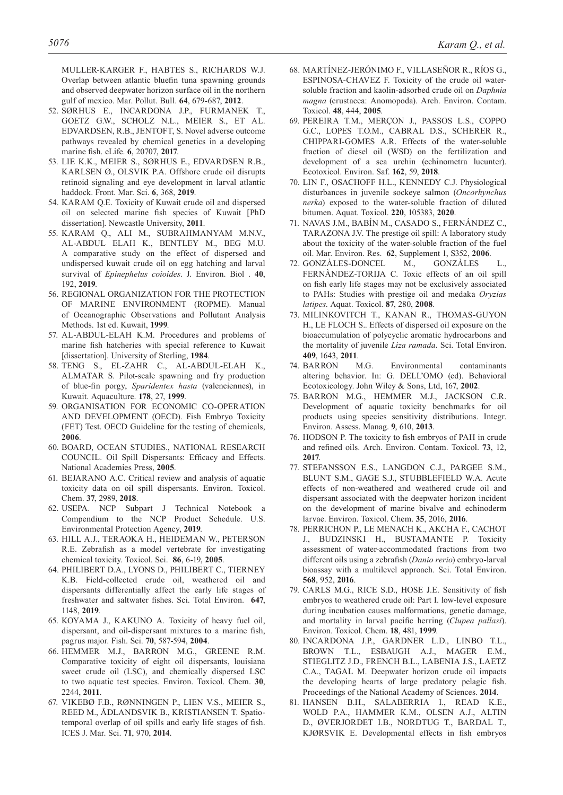MULLER-KARGER F., HABTES S., RICHARDS W.J. Overlap between atlantic bluefin tuna spawning grounds and observed deepwater horizon surface oil in the northern gulf of mexico. Mar. Pollut. Bull. **64**, 679-687, **2012**.

- 52. SØRHUS E., INCARDONA J.P., FURMANEK T., GOETZ G.W., SCHOLZ N.L., MEIER S., ET AL. EDVARDSEN, R.B., JENTOFT, S. Novel adverse outcome pathways revealed by chemical genetics in a developing marine fish. eLife. **6**, 20707, **2017**.
- 53. LIE K.K., MEIER S., SØRHUS E., EDVARDSEN R.B., KARLSEN Ø., OLSVIK P.A. Offshore crude oil disrupts retinoid signaling and eye development in larval atlantic haddock. Front. Mar. Sci. **6**, 368, **2019**.
- 54. KARAM Q.E. Toxicity of Kuwait crude oil and dispersed oil on selected marine fish species of Kuwait [PhD dissertation]. Newcastle University, **2011**.
- 55. KARAM Q., ALI M., SUBRAHMANYAM M.N.V., AL-ABDUL ELAH K., BENTLEY M., BEG M.U. A comparative study on the effect of dispersed and undispersed kuwait crude oil on egg hatching and larval survival of *Epinephelus coioides*. J. Environ. Biol . **40**, 192, **2019**.
- 56. REGIONAL ORGANIZATION FOR THE PROTECTION OF MARINE ENVIRONMENT (ROPME). Manual of Oceanographic Observations and Pollutant Analysis Methods. 1st ed. Kuwait, **1999**.
- 57. AL-ABDUL-ELAH K.M. Procedures and problems of marine fish hatcheries with special reference to Kuwait [dissertation]. University of Sterling, **1984**.
- 58. TENG S., EL-ZAHR C., AL-ABDUL-ELAH K., ALMATAR S. Pilot-scale spawning and fry production of blue-fin porgy, *Sparidentex hasta* (valenciennes), in Kuwait. Aquaculture. **178**, 27, **1999**.
- 59. ORGANISATION FOR ECONOMIC CO-OPERATION AND DEVELOPMENT (OECD). Fish Embryo Toxicity (FET) Test. OECD Guideline for the testing of chemicals, **2006**.
- 60. BOARD, OCEAN STUDIES., NATIONAL RESEARCH COUNCIL. Oil Spill Dispersants: Efficacy and Effects. National Academies Press, **2005**.
- 61. BEJARANO A.C. Critical review and analysis of aquatic toxicity data on oil spill dispersants. Environ. Toxicol. Chem. **37**, 2989, **2018**.
- 62. USEPA. NCP Subpart J Technical Notebook a Compendium to the NCP Product Schedule. U.S. Environmental Protection Agency, **2019**.
- 63. HILL A.J., TERAOKA H., HEIDEMAN W., PETERSON R.E. Zebrafish as a model vertebrate for investigating chemical toxicity. Toxicol. Sci. **86**, 6-19, **2005**.
- 64. PHILIBERT D.A., LYONS D., PHILIBERT C., TIERNEY K.B. Field-collected crude oil, weathered oil and dispersants differentially affect the early life stages of freshwater and saltwater fishes. Sci. Total Environ. **647**, 1148, **2019**.
- 65. KOYAMA J., KAKUNO A. Toxicity of heavy fuel oil, dispersant, and oil-dispersant mixtures to a marine fish, pagrus major. Fish. Sci. **70**, 587-594, **2004**.
- 66. HEMMER M.J., BARRON M.G., GREENE R.M. Comparative toxicity of eight oil dispersants, louisiana sweet crude oil (LSC), and chemically dispersed LSC to two aquatic test species. Environ. Toxicol. Chem. **30**, 2244, **2011**.
- 67. VIKEBØ F.B., RØNNINGEN P., LIEN V.S., MEIER S., REED M., ÅDLANDSVIK B., KRISTIANSEN T. Spatiotemporal overlap of oil spills and early life stages of fish. ICES J. Mar. Sci. **71**, 970, **2014**.
- 68. MARTÍNEZ-JERÓNIMO F., VILLASEÑOR R., RÍOS G., ESPINOSA-CHAVEZ F. Toxicity of the crude oil watersoluble fraction and kaolin-adsorbed crude oil on *Daphnia magna* (crustacea: Anomopoda). Arch. Environ. Contam. Toxicol. **48**, 444, **2005**.
- 69. PEREIRA T.M., MERÇON J., PASSOS L.S., COPPO G.C., LOPES T.O.M., CABRAL D.S., SCHERER R., CHIPPARI-GOMES A.R. Effects of the water-soluble fraction of diesel oil (WSD) on the fertilization and development of a sea urchin (echinometra lucunter). Ecotoxicol. Environ. Saf. **162**, 59, **2018**.
- 70. LIN F., OSACHOFF H.L., KENNEDY C.J. Physiological disturbances in juvenile sockeye salmon (*Oncorhynchus nerka*) exposed to the water-soluble fraction of diluted bitumen. Aquat. Toxicol. **220**, 105383, **2020**.
- 71. NAVAS J.M., BABÍN M., CASADO S., FERNÁNDEZ C., TARAZONA J.V. The prestige oil spill: A laboratory study about the toxicity of the water-soluble fraction of the fuel oil. Mar. Environ. Res. **62**, Supplement 1, S352, **2006**.
- 72. GONZÀLES-DONCEL M., GONZÀLES L., FERNÀNDEZ-TORIJA C. Toxic effects of an oil spill on fish early life stages may not be exclusively associated to PAHs: Studies with prestige oil and medaka *Oryzias latipes*. Aquat. Toxicol. **87**, 280, **2008**.
- 73. MILINKOVITCH T., KANAN R., THOMAS-GUYON H., LE FLOCH S.. Effects of dispersed oil exposure on the bioaccumulation of polycyclic aromatic hydrocarbons and the mortality of juvenile *Liza ramada*. Sci. Total Environ. **409**, 1643, **2011**.
- 74. BARRON M.G. Environmental contaminants altering behavior. In: G. DELL'OMO (ed). Behavioral Ecotoxicology. John Wiley & Sons, Ltd, 167, **2002**.
- 75. BARRON M.G., HEMMER M.J., JACKSON C.R. Development of aquatic toxicity benchmarks for oil products using species sensitivity distributions. Integr. Environ. Assess. Manag. **9**, 610, **2013**.
- 76. HODSON P. The toxicity to fish embryos of PAH in crude and refined oils. Arch. Environ. Contam. Toxicol. **73**, 12, **2017**.
- 77. STEFANSSON E.S., LANGDON C.J., PARGEE S.M., BLUNT S.M., GAGE S.J., STUBBLEFIELD W.A. Acute effects of non-weathered and weathered crude oil and dispersant associated with the deepwater horizon incident on the development of marine bivalve and echinoderm larvae. Environ. Toxicol. Chem. **35**, 2016, **2016**.
- 78. PERRICHON P., LE MENACH K., AKCHA F., CACHOT J., BUDZINSKI H., BUSTAMANTE P. Toxicity assessment of water-accommodated fractions from two different oils using a zebrafish (*Danio rerio*) embryo-larval bioassay with a multilevel approach. Sci. Total Environ. **568**, 952, **2016**.
- 79. CARLS M.G., RICE S.D., HOSE J.E. Sensitivity of fish embryos to weathered crude oil: Part I. low-level exposure during incubation causes malformations, genetic damage, and mortality in larval pacific herring (*Clupea pallasi*). Environ. Toxicol. Chem. **18**, 481, **1999**.
- 80. INCARDONA J.P., GARDNER L.D., LINBO T.L., BROWN T.L., ESBAUGH A.J., MAGER E.M., STIEGLITZ J.D., FRENCH B.L., LABENIA J.S., LAETZ C.A., TAGAL M. Deepwater horizon crude oil impacts the developing hearts of large predatory pelagic fish. Proceedings of the National Academy of Sciences. **2014**.
- 81. HANSEN B.H., SALABERRIA I., READ K.E., WOLD P.A., HAMMER K.M., OLSEN A.J., ALTIN D., ØVERJORDET I.B., NORDTUG T., BARDAL T., KJØRSVIK E. Developmental effects in fish embryos